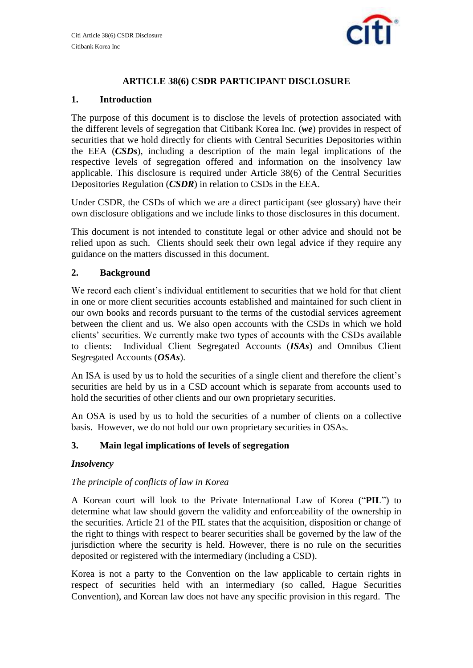

# **ARTICLE 38(6) CSDR PARTICIPANT DISCLOSURE**

## **1. Introduction**

The purpose of this document is to disclose the levels of protection associated with the different levels of segregation that Citibank Korea Inc. (*we*) provides in respect of securities that we hold directly for clients with Central Securities Depositories within the EEA (*CSDs*), including a description of the main legal implications of the respective levels of segregation offered and information on the insolvency law applicable. This disclosure is required under Article 38(6) of the Central Securities Depositories Regulation (*CSDR*) in relation to CSDs in the EEA.

Under CSDR, the CSDs of which we are a direct participant (see glossary) have their own disclosure obligations and we include links to those disclosures in this document.

This document is not intended to constitute legal or other advice and should not be relied upon as such. Clients should seek their own legal advice if they require any guidance on the matters discussed in this document.

## **2. Background**

We record each client's individual entitlement to securities that we hold for that client in one or more client securities accounts established and maintained for such client in our own books and records pursuant to the terms of the custodial services agreement between the client and us. We also open accounts with the CSDs in which we hold clients' securities. We currently make two types of accounts with the CSDs available to clients: Individual Client Segregated Accounts (*ISAs*) and Omnibus Client Segregated Accounts (*OSAs*).

An ISA is used by us to hold the securities of a single client and therefore the client's securities are held by us in a CSD account which is separate from accounts used to hold the securities of other clients and our own proprietary securities.

An OSA is used by us to hold the securities of a number of clients on a collective basis. However, we do not hold our own proprietary securities in OSAs.

## **3. Main legal implications of levels of segregation**

## *Insolvency*

## *The principle of conflicts of law in Korea*

A Korean court will look to the Private International Law of Korea ("**PIL**") to determine what law should govern the validity and enforceability of the ownership in the securities. Article 21 of the PIL states that the acquisition, disposition or change of the right to things with respect to bearer securities shall be governed by the law of the jurisdiction where the security is held. However, there is no rule on the securities deposited or registered with the intermediary (including a CSD).

Korea is not a party to the Convention on the law applicable to certain rights in respect of securities held with an intermediary (so called, Hague Securities Convention), and Korean law does not have any specific provision in this regard. The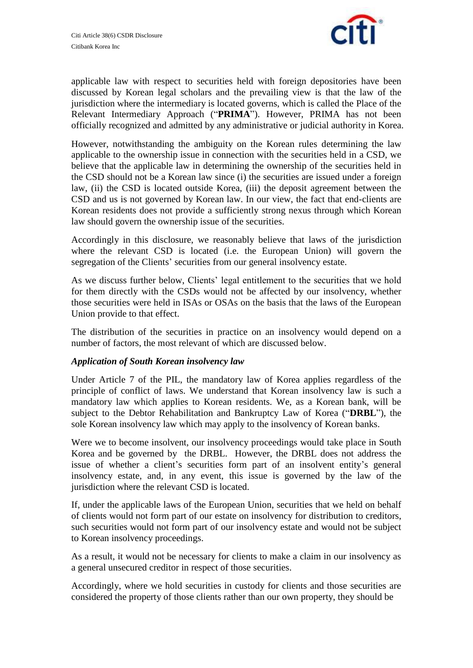

applicable law with respect to securities held with foreign depositories have been discussed by Korean legal scholars and the prevailing view is that the law of the jurisdiction where the intermediary is located governs, which is called the Place of the Relevant Intermediary Approach ("**PRIMA**"). However, PRIMA has not been officially recognized and admitted by any administrative or judicial authority in Korea.

However, notwithstanding the ambiguity on the Korean rules determining the law applicable to the ownership issue in connection with the securities held in a CSD, we believe that the applicable law in determining the ownership of the securities held in the CSD should not be a Korean law since (i) the securities are issued under a foreign law, (ii) the CSD is located outside Korea, (iii) the deposit agreement between the CSD and us is not governed by Korean law. In our view, the fact that end-clients are Korean residents does not provide a sufficiently strong nexus through which Korean law should govern the ownership issue of the securities.

Accordingly in this disclosure, we reasonably believe that laws of the jurisdiction where the relevant CSD is located (i.e. the European Union) will govern the segregation of the Clients' securities from our general insolvency estate.

As we discuss further below, Clients' legal entitlement to the securities that we hold for them directly with the CSDs would not be affected by our insolvency, whether those securities were held in ISAs or OSAs on the basis that the laws of the European Union provide to that effect.

The distribution of the securities in practice on an insolvency would depend on a number of factors, the most relevant of which are discussed below.

## *Application of South Korean insolvency law*

Under Article 7 of the PIL, the mandatory law of Korea applies regardless of the principle of conflict of laws. We understand that Korean insolvency law is such a mandatory law which applies to Korean residents. We, as a Korean bank, will be subject to the Debtor Rehabilitation and Bankruptcy Law of Korea ("**DRBL**"), the sole Korean insolvency law which may apply to the insolvency of Korean banks.

Were we to become insolvent, our insolvency proceedings would take place in South Korea and be governed by the DRBL. However, the DRBL does not address the issue of whether a client's securities form part of an insolvent entity's general insolvency estate, and, in any event, this issue is governed by the law of the jurisdiction where the relevant CSD is located.

If, under the applicable laws of the European Union, securities that we held on behalf of clients would not form part of our estate on insolvency for distribution to creditors, such securities would not form part of our insolvency estate and would not be subject to Korean insolvency proceedings.

As a result, it would not be necessary for clients to make a claim in our insolvency as a general unsecured creditor in respect of those securities.

Accordingly, where we hold securities in custody for clients and those securities are considered the property of those clients rather than our own property, they should be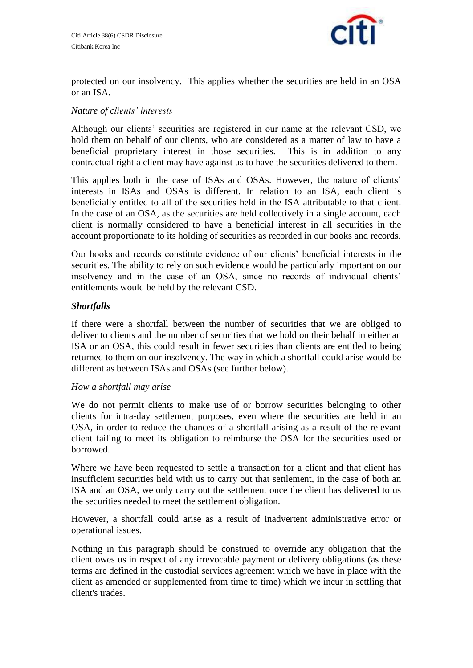

protected on our insolvency. This applies whether the securities are held in an OSA or an ISA.

### *Nature of clients' interests*

Although our clients' securities are registered in our name at the relevant CSD, we hold them on behalf of our clients, who are considered as a matter of law to have a beneficial proprietary interest in those securities. This is in addition to any contractual right a client may have against us to have the securities delivered to them.

This applies both in the case of ISAs and OSAs. However, the nature of clients' interests in ISAs and OSAs is different. In relation to an ISA, each client is beneficially entitled to all of the securities held in the ISA attributable to that client. In the case of an OSA, as the securities are held collectively in a single account, each client is normally considered to have a beneficial interest in all securities in the account proportionate to its holding of securities as recorded in our books and records.

Our books and records constitute evidence of our clients' beneficial interests in the securities. The ability to rely on such evidence would be particularly important on our insolvency and in the case of an OSA, since no records of individual clients' entitlements would be held by the relevant CSD.

### *Shortfalls*

If there were a shortfall between the number of securities that we are obliged to deliver to clients and the number of securities that we hold on their behalf in either an ISA or an OSA, this could result in fewer securities than clients are entitled to being returned to them on our insolvency. The way in which a shortfall could arise would be different as between ISAs and OSAs (see further below).

#### *How a shortfall may arise*

We do not permit clients to make use of or borrow securities belonging to other clients for intra-day settlement purposes, even where the securities are held in an OSA, in order to reduce the chances of a shortfall arising as a result of the relevant client failing to meet its obligation to reimburse the OSA for the securities used or borrowed.

Where we have been requested to settle a transaction for a client and that client has insufficient securities held with us to carry out that settlement, in the case of both an ISA and an OSA, we only carry out the settlement once the client has delivered to us the securities needed to meet the settlement obligation.

However, a shortfall could arise as a result of inadvertent administrative error or operational issues.

Nothing in this paragraph should be construed to override any obligation that the client owes us in respect of any irrevocable payment or delivery obligations (as these terms are defined in the custodial services agreement which we have in place with the client as amended or supplemented from time to time) which we incur in settling that client's trades.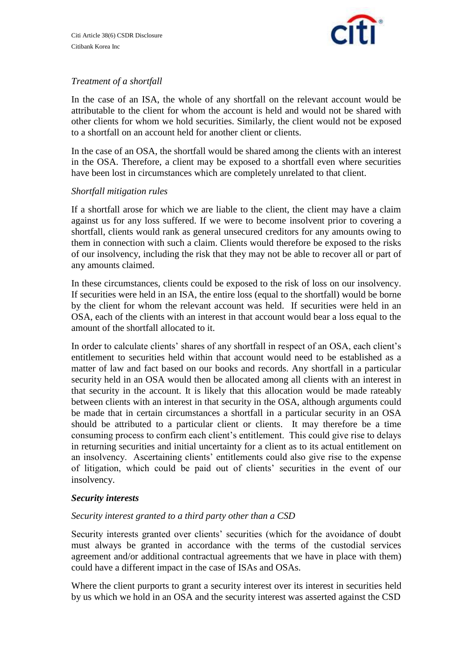

## *Treatment of a shortfall*

In the case of an ISA, the whole of any shortfall on the relevant account would be attributable to the client for whom the account is held and would not be shared with other clients for whom we hold securities. Similarly, the client would not be exposed to a shortfall on an account held for another client or clients.

In the case of an OSA, the shortfall would be shared among the clients with an interest in the OSA. Therefore, a client may be exposed to a shortfall even where securities have been lost in circumstances which are completely unrelated to that client.

### *Shortfall mitigation rules*

If a shortfall arose for which we are liable to the client, the client may have a claim against us for any loss suffered. If we were to become insolvent prior to covering a shortfall, clients would rank as general unsecured creditors for any amounts owing to them in connection with such a claim. Clients would therefore be exposed to the risks of our insolvency, including the risk that they may not be able to recover all or part of any amounts claimed.

In these circumstances, clients could be exposed to the risk of loss on our insolvency. If securities were held in an ISA, the entire loss (equal to the shortfall) would be borne by the client for whom the relevant account was held. If securities were held in an OSA, each of the clients with an interest in that account would bear a loss equal to the amount of the shortfall allocated to it.

In order to calculate clients' shares of any shortfall in respect of an OSA, each client's entitlement to securities held within that account would need to be established as a matter of law and fact based on our books and records. Any shortfall in a particular security held in an OSA would then be allocated among all clients with an interest in that security in the account. It is likely that this allocation would be made rateably between clients with an interest in that security in the OSA, although arguments could be made that in certain circumstances a shortfall in a particular security in an OSA should be attributed to a particular client or clients. It may therefore be a time consuming process to confirm each client's entitlement. This could give rise to delays in returning securities and initial uncertainty for a client as to its actual entitlement on an insolvency. Ascertaining clients' entitlements could also give rise to the expense of litigation, which could be paid out of clients' securities in the event of our insolvency.

#### *Security interests*

## *Security interest granted to a third party other than a CSD*

Security interests granted over clients' securities (which for the avoidance of doubt must always be granted in accordance with the terms of the custodial services agreement and/or additional contractual agreements that we have in place with them) could have a different impact in the case of ISAs and OSAs.

Where the client purports to grant a security interest over its interest in securities held by us which we hold in an OSA and the security interest was asserted against the CSD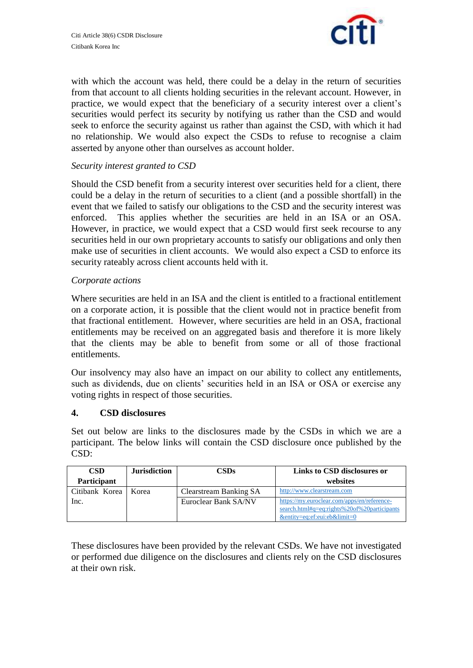

with which the account was held, there could be a delay in the return of securities from that account to all clients holding securities in the relevant account. However, in practice, we would expect that the beneficiary of a security interest over a client's securities would perfect its security by notifying us rather than the CSD and would seek to enforce the security against us rather than against the CSD, with which it had no relationship. We would also expect the CSDs to refuse to recognise a claim asserted by anyone other than ourselves as account holder.

### *Security interest granted to CSD*

Should the CSD benefit from a security interest over securities held for a client, there could be a delay in the return of securities to a client (and a possible shortfall) in the event that we failed to satisfy our obligations to the CSD and the security interest was enforced. This applies whether the securities are held in an ISA or an OSA. However, in practice, we would expect that a CSD would first seek recourse to any securities held in our own proprietary accounts to satisfy our obligations and only then make use of securities in client accounts. We would also expect a CSD to enforce its security rateably across client accounts held with it.

#### *Corporate actions*

Where securities are held in an ISA and the client is entitled to a fractional entitlement on a corporate action, it is possible that the client would not in practice benefit from that fractional entitlement. However, where securities are held in an OSA, fractional entitlements may be received on an aggregated basis and therefore it is more likely that the clients may be able to benefit from some or all of those fractional entitlements.

Our insolvency may also have an impact on our ability to collect any entitlements, such as dividends, due on clients' securities held in an ISA or OSA or exercise any voting rights in respect of those securities.

#### **4. CSD disclosures**

Set out below are links to the disclosures made by the CSDs in which we are a participant. The below links will contain the CSD disclosure once published by the CSD:

| <b>CSD</b>         | <b>Jurisdiction</b> | CSDs                   | Links to CSD disclosures or                                                                                                |
|--------------------|---------------------|------------------------|----------------------------------------------------------------------------------------------------------------------------|
| <b>Participant</b> |                     |                        | websites                                                                                                                   |
| Citibank Korea     | Korea               | Clearstream Banking SA | http://www.clearstream.com                                                                                                 |
| Inc.               |                     | Euroclear Bank SA/NV   | https://my.euroclear.com/apps/en/reference-<br>search.html#q=eq:rights%20of%20participants<br>&entity=eq:ef:eui:eb&limit=0 |

These disclosures have been provided by the relevant CSDs. We have not investigated or performed due diligence on the disclosures and clients rely on the CSD disclosures at their own risk.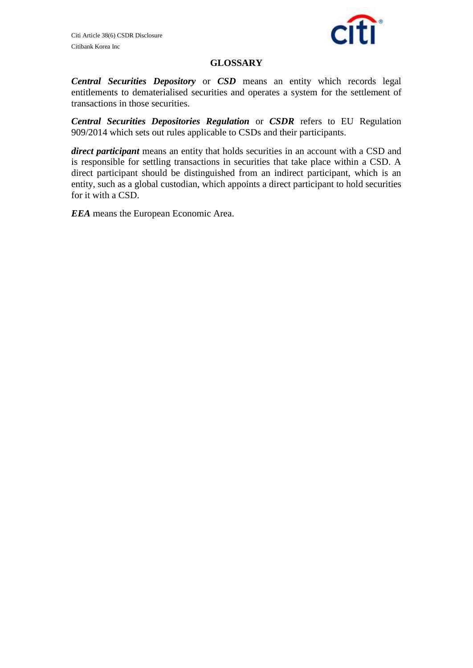

### **GLOSSARY**

*Central Securities Depository* or *CSD* means an entity which records legal entitlements to dematerialised securities and operates a system for the settlement of transactions in those securities.

*Central Securities Depositories Regulation* or *CSDR* refers to EU Regulation 909/2014 which sets out rules applicable to CSDs and their participants.

*direct participant* means an entity that holds securities in an account with a CSD and is responsible for settling transactions in securities that take place within a CSD. A direct participant should be distinguished from an indirect participant, which is an entity, such as a global custodian, which appoints a direct participant to hold securities for it with a CSD.

*EEA* means the European Economic Area.